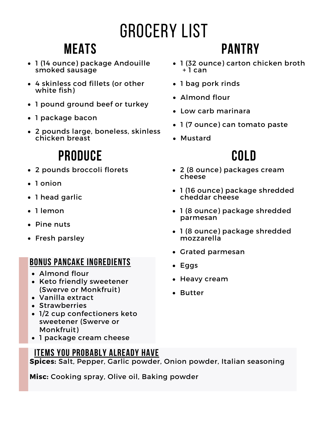# Grocery List

### **Meats**

- 1 (14 ounce) package Andouille smoked sausage
- 4 skinless cod fillets (or other white fish)
- 1 pound ground beef or turkey
- 1 package bacon
- 2 pounds large, boneless, skinless chicken breast

### **Produce**

- 2 pounds broccoli florets
- 1 onion
- 1 head garlic
- 1 lemon
- Pine nuts
- Fresh parsley

#### **Bonus pancake ingredients**

- Almond flour
- Keto friendly sweetener (Swerve or Monkfruit)
- Vanilla extract
- Strawberries
- 1/2 cup confectioners keto sweetener (Swerve or Monkfruit)
- 1 package cream cheese

#### **Items you probably already have**

**Spices:** Salt, Pepper, Garlic powder, Onion powder, Italian seasoning

**Misc:** Cooking spray, Olive oil, Baking powder

### **Pantry**

- 1 (32 ounce) carton chicken broth  $+1$  can
- 1 bag pork rinds
- Almond flour
- Low carb marinara
- 1 (7 ounce) can tomato paste
- Mustard

### **Cold**

- 2 (8 ounce) packages cream cheese
- 1 (16 ounce) package shredded cheddar cheese
- 1 (8 ounce) package shredded parmesan
- 1 (8 ounce) package shredded mozzarella
- Grated parmesan
- Eggs
- Heavy cream
- Butter